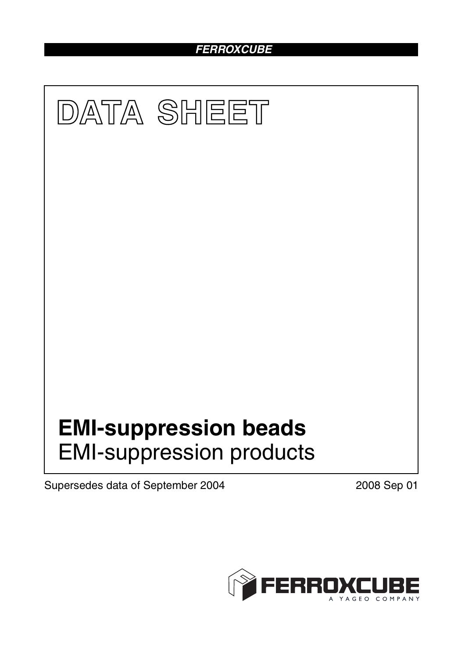# *FERROXCUBE*



Supersedes data of September 2004 2008 Sep 01

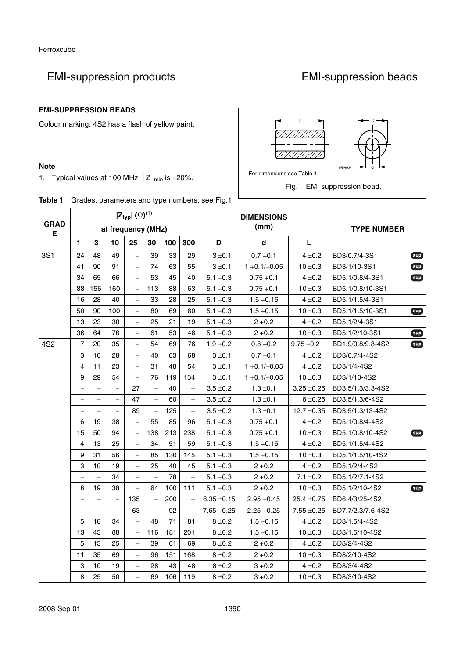# EMI-suppression products EMI-suppression beads

## **EMI-SUPPRESSION BEADS**

Colour marking: 4S2 has a flash of yellow paint.

### **Note**

1. Typical values at 100 MHz,  $|z|_{min}$  is -20%.



For dimensions see Table 1.

Fig.1 EMI suppression bead.

|  |  | Table 1 Grades, parameters and type numbers; see Fig.1 |  |  |  |  |
|--|--|--------------------------------------------------------|--|--|--|--|
|--|--|--------------------------------------------------------|--|--|--|--|

|                  | $ \mathsf{Z}_{\mathsf{typ}} $ ( $\Omega$ ) <sup>(1)</sup> |                          |                          |                          |                          |     |     | <b>DIMENSIONS</b> |                 |                    |                   |          |
|------------------|-----------------------------------------------------------|--------------------------|--------------------------|--------------------------|--------------------------|-----|-----|-------------------|-----------------|--------------------|-------------------|----------|
| <b>GRAD</b><br>Е |                                                           |                          |                          | at frequency (MHz)       |                          |     |     |                   | (mm)            | <b>TYPE NUMBER</b> |                   |          |
|                  | 1                                                         | 3                        | 10                       | 25                       | 30                       | 100 | 300 | D                 | d               | L                  |                   |          |
| <b>3S1</b>       | 24                                                        | 48                       | 49                       |                          | 39                       | 33  | 29  | $3 + 0.1$         | $0.7 + 0.1$     | $4 \pm 0.2$        | BD3/0.7/4-3S1     | $[\sup]$ |
|                  | 41                                                        | 90                       | 91                       | $\overline{\phantom{0}}$ | 74                       | 63  | 55  | $3 \pm 0.1$       | $1 + 0.1/-0.05$ | $10 \pm 0.3$       | BD3/1/10-3S1      | $[\sup]$ |
|                  | 34                                                        | 65                       | 66                       |                          | 53                       | 45  | 40  | $5.1 - 0.3$       | $0.75 + 0.1$    | $4 + 0.2$          | BD5.1/0.8/4-3S1   | $5$      |
|                  | 88                                                        | 156                      | 160                      | $\qquad \qquad -$        | 113                      | 88  | 63  | $5.1 - 0.3$       | $0.75 + 0.1$    | $10 \pm 0.3$       | BD5.1/0.8/10-3S1  |          |
|                  | 16                                                        | 28                       | 40                       | $\qquad \qquad -$        | 33                       | 28  | 25  | $5.1 - 0.3$       | $1.5 + 0.15$    | $4 \pm 0.2$        | BD5.1/1.5/4-3S1   |          |
|                  | 50                                                        | 90                       | 100                      | $\overline{\phantom{0}}$ | 80                       | 69  | 60  | $5.1 - 0.3$       | $1.5 + 0.15$    | $10 \pm 0.3$       | BD5.1/1.5/10-3S1  | $[\sup]$ |
|                  | 13                                                        | 23                       | 30                       | $\overline{\phantom{0}}$ | 25                       | 21  | 19  | $5.1 - 0.3$       | $2 + 0.2$       | $4 + 0.2$          | BD5.1/2/4-3S1     |          |
|                  | 36                                                        | 64                       | 76                       | $\equiv$                 | 61                       | 53  | 46  | $5.1 - 0.3$       | $2 + 0.2$       | $10 \pm 0.3$       | BD5.1/2/10-3S1    | $sup$    |
| 4S <sub>2</sub>  | $\overline{7}$                                            | 20                       | 35                       | $\overline{\phantom{0}}$ | 54                       | 69  | 76  | $1.9 + 0.2$       | $0.8 + 0.2$     | $9.75 - 0.2$       | BD1.9/0.8/9.8-4S2 | $sup$    |
|                  | 3                                                         | 10                       | 28                       |                          | 40                       | 63  | 68  | $3 + 0.1$         | $0.7 + 0.1$     | $4 + 0.2$          | BD3/0.7/4-4S2     |          |
|                  | $\overline{\mathbf{4}}$                                   | 11                       | 23                       | $\overline{\phantom{0}}$ | 31                       | 48  | 54  | $3 + 0.1$         | $1 + 0.1/-0.05$ | $4 \pm 0.2$        | BD3/1/4-4S2       |          |
|                  | 9                                                         | 29                       | 54                       | $\overline{\phantom{0}}$ | 76                       | 119 | 134 | $3 \pm 0.1$       | $1 + 0.1/-0.05$ | $10 \pm 0.3$       | BD3/1/10-4S2      |          |
|                  | $\overline{\phantom{0}}$                                  | $\overline{\phantom{0}}$ | $\overline{\phantom{0}}$ | 27                       | $\overline{\phantom{0}}$ | 40  |     | $3.5 \pm 0.2$     | $1.3 \pm 0.1$   | $3.25 \pm 0.25$    | BD3.5/1.3/3.3-4S2 |          |
|                  | $\overline{\phantom{0}}$                                  | $\overline{\phantom{0}}$ | $\overline{\phantom{0}}$ | 47                       | $\overline{\phantom{0}}$ | 60  |     | $3.5 \pm 0.2$     | $1.3 \pm 0.1$   | $6 + 0.25$         | BD3.5/1.3/6-4S2   |          |
|                  | $\equiv$                                                  |                          | $\equiv$                 | 89                       | $\frac{1}{2}$            | 125 |     | $3.5 \pm 0.2$     | $1.3 \pm 0.1$   | $12.7 \pm 0.35$    | BD3.5/1.3/13-4S2  |          |
|                  | $6\phantom{1}$                                            | 19                       | 38                       |                          | 55                       | 85  | 96  | $5.1 - 0.3$       | $0.75 + 0.1$    | $4 + 0.2$          | BD5.1/0.8/4-4S2   |          |
|                  | 15                                                        | 50                       | 94                       | $\overline{\phantom{0}}$ | 138                      | 213 | 238 | $5.1 - 0.3$       | $0.75 + 0.1$    | $10 \pm 0.3$       | BD5.1/0.8/10-4S2  | $[\sup]$ |
|                  | $\overline{\mathbf{4}}$                                   | 13                       | 25                       | $\qquad \qquad -$        | 34                       | 51  | 59  | $5.1 - 0.3$       | $1.5 + 0.15$    | $4 \pm 0.2$        | BD5.1/1.5/4-4S2   |          |
|                  | 9                                                         | 31                       | 56                       | $\overline{\phantom{0}}$ | 85                       | 130 | 145 | $5.1 - 0.3$       | $1.5 + 0.15$    | $10 \pm 0.3$       | BD5.1/1.5/10-4S2  |          |
|                  | $\mathbf{3}$                                              | 10                       | 19                       |                          | 25                       | 40  | 45  | $5.1 - 0.3$       | $2 + 0.2$       | $4 \pm 0.2$        | BD5.1/2/4-4S2     |          |
|                  | $\overline{\phantom{0}}$                                  |                          | 34                       | $\qquad \qquad -$        |                          | 78  |     | $5.1 - 0.3$       | $2 + 0.2$       | $7.1 \pm 0.2$      | BD5.1/2/7.1-4S2   |          |
|                  | 8                                                         | 19                       | 38                       |                          | 64                       | 100 | 111 | $5.1 - 0.3$       | $2 + 0.2$       | $10 \pm 0.3$       | BD5.1/2/10-4S2    | $5$      |
|                  | $\qquad \qquad -$                                         | $\qquad \qquad -$        | $\overline{\phantom{0}}$ | 135                      | $\overline{\phantom{0}}$ | 200 |     | $6.35 \pm 0.15$   | $2.95 + 0.45$   | $25.4 \pm 0.75$    | BD6.4/3/25-4S2    |          |
|                  | $\overline{\phantom{0}}$                                  | $\overline{\phantom{0}}$ | $\equiv$                 | 63                       | $\equiv$                 | 92  |     | $7.65 - 0.25$     | $2.25 + 0.25$   | $7.55 \pm 0.25$    | BD7.7/2.3/7.6-4S2 |          |
|                  | 5                                                         | 18                       | 34                       |                          | 48                       | 71  | 81  | $8 + 0.2$         | $1.5 + 0.15$    | $4 + 0.2$          | BD8/1.5/4-4S2     |          |
|                  | 13                                                        | 43                       | 88                       | $\overline{\phantom{0}}$ | 116                      | 181 | 201 | $8 \pm 0.2$       | $1.5 + 0.15$    | $10 \pm 0.3$       | BD8/1.5/10-4S2    |          |
|                  | 5                                                         | 13                       | 25                       | $\overline{\phantom{0}}$ | 39                       | 61  | 69  | $8 \pm 0.2$       | $2 + 0.2$       | $4 \pm 0.2$        | BD8/2/4-4S2       |          |
|                  | 11                                                        | 35                       | 69                       | $\qquad \qquad -$        | 96                       | 151 | 168 | $8 \pm 0.2$       | $2 + 0.2$       | $10 \pm 0.3$       | BD8/2/10-4S2      |          |
|                  | 3                                                         | 10                       | 19                       |                          | 28                       | 43  | 48  | $8 \pm 0.2$       | $3 + 0.2$       | $4 \pm 0.2$        | BD8/3/4-4S2       |          |
|                  | 8                                                         | 25                       | 50                       | $\overline{a}$           | 69                       | 106 | 119 | $8 \pm 0.2$       | $3 + 0.2$       | $10 \pm 0.3$       | BD8/3/10-4S2      |          |